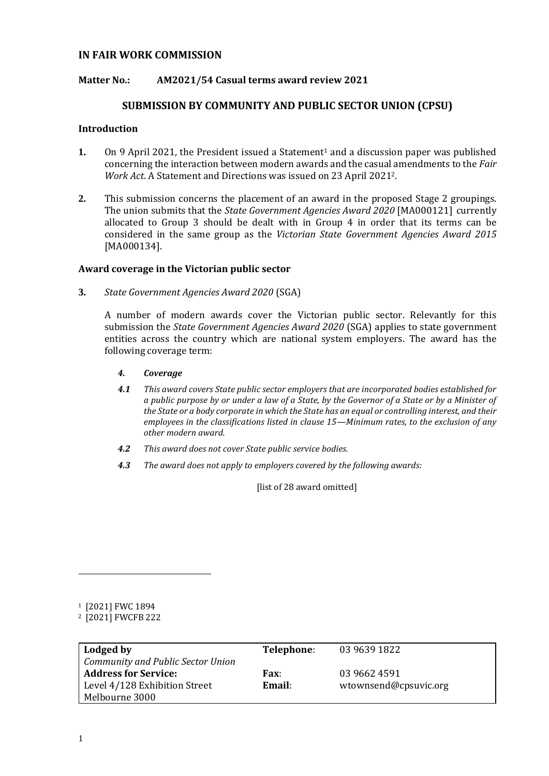# **IN FAIR WORK COMMISSION**

## **Matter No.: AM2021/54 Casual terms award review 2021**

## **SUBMISSION BY COMMUNITY AND PUBLIC SECTOR UNION (CPSU)**

#### **Introduction**

- **1.** On 9 April 2021, the President issued a Statement<sup>1</sup> and a discussion paper was published concerning the interaction between modern awards and the casual amendments to the *Fair Work Act*. A Statement and Directions was issued on 23 April 20212.
- **2.** This submission concerns the placement of an award in the proposed Stage 2 groupings. The union submits that the *State Government Agencies Award 2020* [MA000121] currently allocated to Group 3 should be dealt with in Group 4 in order that its terms can be considered in the same group as the *Victorian State Government Agencies Award 2015* [MA000134].

#### **Award coverage in the Victorian public sector**

**3.** *State Government Agencies Award 2020* (SGA)

A number of modern awards cover the Victorian public sector. Relevantly for this submission the *State Government Agencies Award 2020* (SGA) applies to state government entities across the country which are national system employers. The award has the following coverage term:

- *4. Coverage*
- *4.1 This award covers State public sector employers that are incorporated bodies established for a public purpose by or under a law of a State, by the Governor of a State or by a Minister of the State or a body corporate in which the State has an equal or controlling interest, and their employees in the classifications listed in clause 15—Minimum rates, to the exclusion of any other modern award.*
- *4.2 This award does not cover State public service bodies.*
- *4.3 The award does not apply to employers covered by the following awards:*

[list of 28 award omitted]

<sup>2</sup> [2021] FWCFB 222

| Lodged by<br><b>Community and Public Sector Union</b> | Telephone:            | 03 9639 1822          |
|-------------------------------------------------------|-----------------------|-----------------------|
| <b>Address for Service:</b>                           | <b>Fax:</b><br>Email: | 03 9662 4591          |
| Level 4/128 Exhibition Street<br>Melbourne 3000       |                       | wtownsend@cpsuvic.org |

<sup>1</sup> [2021] FWC 1894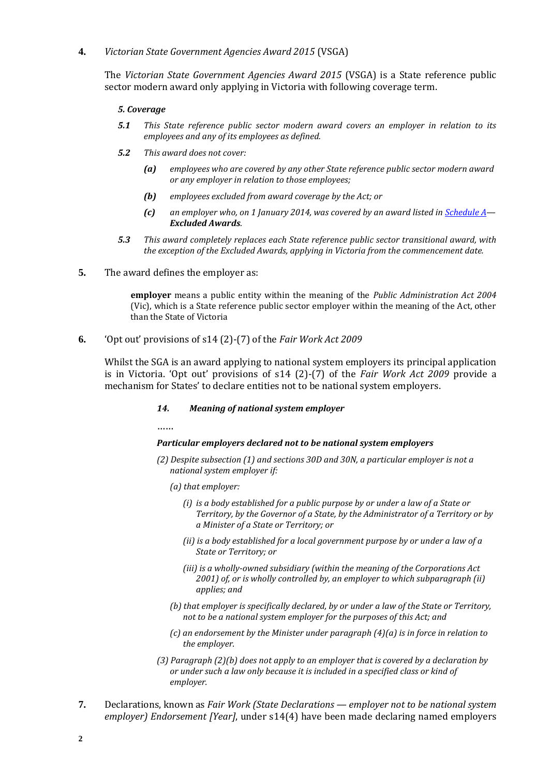## **4.** *Victorian State Government Agencies Award 2015* (VSGA)

The *Victorian State Government Agencies Award 2015* (VSGA) is a State reference public sector modern award only applying in Victoria with following coverage term.

#### *5. Coverage*

- *5.1 This State reference public sector modern award covers an employer in relation to its employees and any of its employees as defined.*
- *5.2 This award does not cover:*
	- *(a) employees who are covered by any other State reference public sector modern award or any employer in relation to those employees;*
	- *(b) employees excluded from award coverage by the Act; or*
	- *(c) an employer who, on 1 January 2014, was covered by an award listed i[n Schedule A](https://www.fwc.gov.au/documents/documents/modern_awards/award/ma000134/ma000134-54.htm#P1812_66951)— Excluded Awards.*
- *5.3 This award completely replaces each State reference public sector transitional award, with the exception of the Excluded Awards, applying in Victoria from the commencement date.*
- **5.** The award defines the employer as:

**employer** means a public entity within the meaning of the *Public Administration Act 2004*  (Vic), which is a State reference public sector employer within the meaning of the Act, other than the State of Victoria

## **6.** 'Opt out' provisions of s14 (2)-(7) of the *Fair Work Act 2009*

Whilst the SGA is an award applying to national system employers its principal application is in Victoria. 'Opt out' provisions of s14 (2)-(7) of the *Fair Work Act 2009* provide a mechanism for States' to declare entities not to be national system employers.

#### *14. Meaning of national system employer*

……

#### *Particular employers declared not to be national system employers*

- *(2) Despite subsection (1) and sections 30D and 30N, a particular employer is not a national system employer if:*
	- *(a) that employer:*
		- *(i) is a body established for a public purpose by or under a law of a State or Territory, by the Governor of a State, by the Administrator of a Territory or by a Minister of a State or Territory; or*
		- *(ii) is a body established for a local government purpose by or under a law of a State or Territory; or*
		- *(iii) is a wholly-owned subsidiary (within the meaning of the Corporations Act 2001) of, or is wholly controlled by, an employer to which subparagraph (ii) applies; and*
	- *(b) that employer is specifically declared, by or under a law of the State or Territory, not to be a national system employer for the purposes of this Act; and*
	- *(c) an endorsement by the Minister under paragraph (4)(a) is in force in relation to the employer.*
- *(3) Paragraph (2)(b) does not apply to an employer that is covered by a declaration by or under such a law only because it is included in a specified class or kind of employer.*
- **7.** Declarations, known as *Fair Work (State Declarations — employer not to be national system employer) Endorsement [Year]*, under s14(4) have been made declaring named employers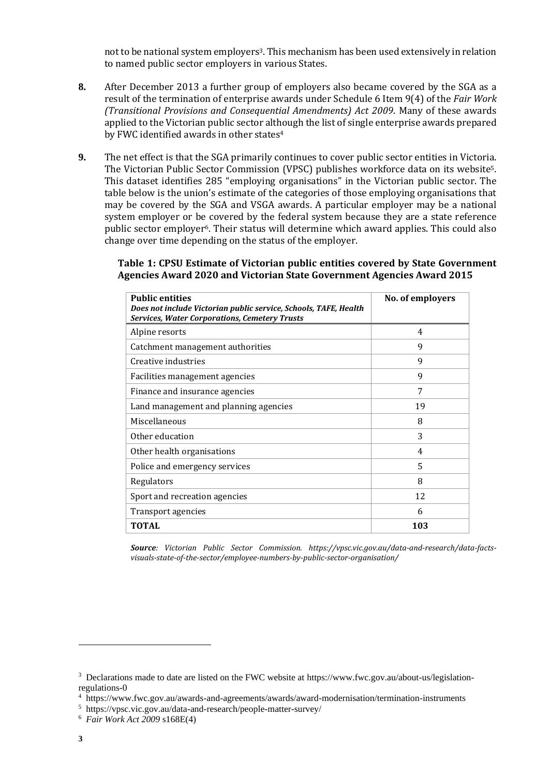not to be national system employers<sup>3</sup>. This mechanism has been used extensively in relation to named public sector employers in various States.

- **8.** After December 2013 a further group of employers also became covered by the SGA as a result of the termination of enterprise awards under Schedule 6 Item 9(4) of the *Fair Work (Transitional Provisions and Consequential Amendments) Act 2009*. Many of these awards applied to the Victorian public sector although the list of single enterprise awards prepared by FWC identified awards in other states<sup>4</sup>
- **9.** The net effect is that the SGA primarily continues to cover public sector entities in Victoria. The Victorian Public Sector Commission (VPSC) publishes workforce data on its website5. This dataset identifies 285 "employing organisations" in the Victorian public sector. The table below is the union's estimate of the categories of those employing organisations that may be covered by the SGA and VSGA awards. A particular employer may be a national system employer or be covered by the federal system because they are a state reference public sector employer6. Their status will determine which award applies. This could also change over time depending on the status of the employer.

# **Table 1: CPSU Estimate of Victorian public entities covered by State Government Agencies Award 2020 and Victorian State Government Agencies Award 2015**

| <b>Public entities</b><br>Does not include Victorian public service, Schools, TAFE, Health<br><b>Services, Water Corporations, Cemetery Trusts</b> | No. of employers |
|----------------------------------------------------------------------------------------------------------------------------------------------------|------------------|
| Alpine resorts                                                                                                                                     | 4                |
| Catchment management authorities                                                                                                                   | 9                |
| Creative industries                                                                                                                                | 9                |
| Facilities management agencies                                                                                                                     | 9                |
| Finance and insurance agencies                                                                                                                     | 7                |
| Land management and planning agencies                                                                                                              | 19               |
| Miscellaneous                                                                                                                                      | 8                |
| Other education                                                                                                                                    | 3                |
| Other health organisations                                                                                                                         | 4                |
| Police and emergency services                                                                                                                      | 5                |
| Regulators                                                                                                                                         | 8                |
| Sport and recreation agencies                                                                                                                      | 12               |
| Transport agencies                                                                                                                                 | 6                |
| TOTAL                                                                                                                                              | 103              |

*Source: Victorian Public Sector Commission. https://vpsc.vic.gov.au/data-and-research/data-factsvisuals-state-of-the-sector/employee-numbers-by-public-sector-organisation/*

<sup>&</sup>lt;sup>3</sup> Declarations made to date are listed on the FWC website at https://www.fwc.gov.au/about-us/legislationregulations-0

<sup>4</sup> <https://www.fwc.gov.au/awards-and-agreements/awards/award-modernisation/termination-instruments>

<sup>5</sup> https://vpsc.vic.gov.au/data-and-research/people-matter-survey/

<sup>6</sup> *Fair Work Act 2009* s168E(4)